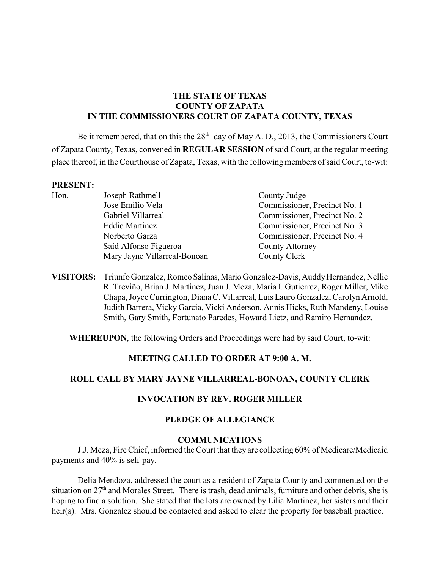## **THE STATE OF TEXAS COUNTY OF ZAPATA IN THE COMMISSIONERS COURT OF ZAPATA COUNTY, TEXAS**

Be it remembered, that on this the  $28<sup>th</sup>$  day of May A. D., 2013, the Commissioners Court of Zapata County, Texas, convened in **REGULAR SESSION** of said Court, at the regular meeting place thereof, in the Courthouse of Zapata, Texas, with the following members of said Court, to-wit:

#### **PRESENT:**

| Hon. | Joseph Rathmell              | County Judge                 |
|------|------------------------------|------------------------------|
|      | Jose Emilio Vela             | Commissioner, Precinct No. 1 |
|      | Gabriel Villarreal           | Commissioner, Precinct No. 2 |
|      | <b>Eddie Martinez</b>        | Commissioner, Precinct No. 3 |
|      | Norberto Garza               | Commissioner, Precinct No. 4 |
|      | Saíd Alfonso Figueroa        | <b>County Attorney</b>       |
|      | Mary Jayne Villarreal-Bonoan | County Clerk                 |
|      |                              |                              |

**VISITORS:** Triunfo Gonzalez, Romeo Salinas, Mario Gonzalez-Davis, Auddy Hernandez, Nellie R. Treviño, Brian J. Martinez, Juan J. Meza, Maria I. Gutierrez, Roger Miller, Mike Chapa, Joyce Currington, Diana C. Villarreal, Luis Lauro Gonzalez, Carolyn Arnold, Judith Barrera, Vicky Garcia, Vicki Anderson, Annis Hicks, Ruth Mandeny, Louise Smith, Gary Smith, Fortunato Paredes, Howard Lietz, and Ramiro Hernandez.

**WHEREUPON**, the following Orders and Proceedings were had by said Court, to-wit:

### **MEETING CALLED TO ORDER AT 9:00 A. M.**

## **ROLL CALL BY MARY JAYNE VILLARREAL-BONOAN, COUNTY CLERK**

### **INVOCATION BY REV. ROGER MILLER**

### **PLEDGE OF ALLEGIANCE**

#### **COMMUNICATIONS**

J.J. Meza, Fire Chief, informed the Court that they are collecting 60% of Medicare/Medicaid payments and 40% is self-pay.

Delia Mendoza, addressed the court as a resident of Zapata County and commented on the situation on  $27<sup>th</sup>$  and Morales Street. There is trash, dead animals, furniture and other debris, she is hoping to find a solution. She stated that the lots are owned by Lilia Martinez, her sisters and their heir(s). Mrs. Gonzalez should be contacted and asked to clear the property for baseball practice.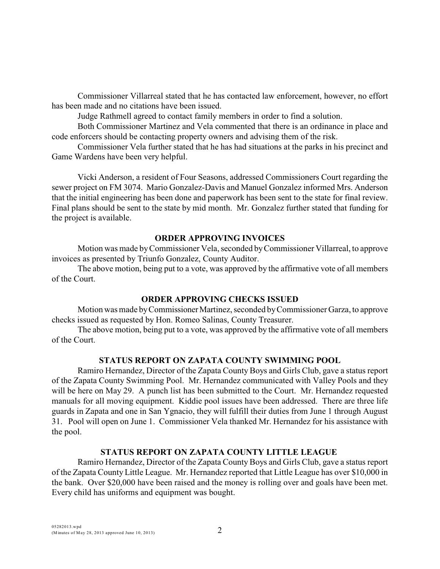Commissioner Villarreal stated that he has contacted law enforcement, however, no effort has been made and no citations have been issued.

Judge Rathmell agreed to contact family members in order to find a solution.

Both Commissioner Martinez and Vela commented that there is an ordinance in place and code enforcers should be contacting property owners and advising them of the risk.

Commissioner Vela further stated that he has had situations at the parks in his precinct and Game Wardens have been very helpful.

Vicki Anderson, a resident of Four Seasons, addressed Commissioners Court regarding the sewer project on FM 3074. Mario Gonzalez-Davis and Manuel Gonzalez informed Mrs. Anderson that the initial engineering has been done and paperwork has been sent to the state for final review. Final plans should be sent to the state by mid month. Mr. Gonzalez further stated that funding for the project is available.

### **ORDER APPROVING INVOICES**

Motion was made by Commissioner Vela, seconded byCommissioner Villarreal, to approve invoices as presented by Triunfo Gonzalez, County Auditor.

The above motion, being put to a vote, was approved by the affirmative vote of all members of the Court.

## **ORDER APPROVING CHECKS ISSUED**

Motion was made by Commissioner Martinez, seconded by Commissioner Garza, to approve checks issued as requested by Hon. Romeo Salinas, County Treasurer.

The above motion, being put to a vote, was approved by the affirmative vote of all members of the Court.

## **STATUS REPORT ON ZAPATA COUNTY SWIMMING POOL**

Ramiro Hernandez, Director of the Zapata County Boys and Girls Club, gave a status report of the Zapata County Swimming Pool. Mr. Hernandez communicated with Valley Pools and they will be here on May 29. A punch list has been submitted to the Court. Mr. Hernandez requested manuals for all moving equipment. Kiddie pool issues have been addressed. There are three life guards in Zapata and one in San Ygnacio, they will fulfill their duties from June 1 through August 31. Pool will open on June 1. Commissioner Vela thanked Mr. Hernandez for his assistance with the pool.

## **STATUS REPORT ON ZAPATA COUNTY LITTLE LEAGUE**

Ramiro Hernandez, Director of the Zapata County Boys and Girls Club, gave a status report of the Zapata County Little League. Mr. Hernandez reported that Little League has over \$10,000 in the bank. Over \$20,000 have been raised and the money is rolling over and goals have been met. Every child has uniforms and equipment was bought.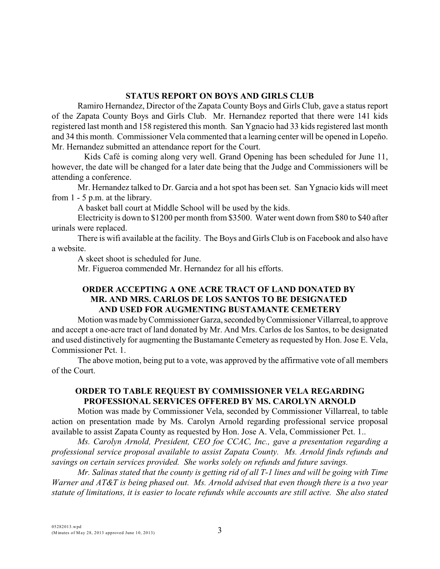### **STATUS REPORT ON BOYS AND GIRLS CLUB**

Ramiro Hernandez, Director of the Zapata County Boys and Girls Club, gave a status report of the Zapata County Boys and Girls Club. Mr. Hernandez reported that there were 141 kids registered last month and 158 registered this month. San Ygnacio had 33 kids registered last month and 34 this month. Commissioner Vela commented that a learning center will be opened in Lopeño. Mr. Hernandez submitted an attendance report for the Court.

 Kids Café is coming along very well. Grand Opening has been scheduled for June 11, however, the date will be changed for a later date being that the Judge and Commissioners will be attending a conference.

Mr. Hernandez talked to Dr. Garcia and a hot spot has been set. San Ygnacio kids will meet from 1 - 5 p.m. at the library.

A basket ball court at Middle School will be used by the kids.

Electricity is down to \$1200 per month from \$3500. Water went down from \$80 to \$40 after urinals were replaced.

There is wifi available at the facility. The Boys and Girls Club is on Facebook and also have a website.

A skeet shoot is scheduled for June.

Mr. Figueroa commended Mr. Hernandez for all his efforts.

## **ORDER ACCEPTING A ONE ACRE TRACT OF LAND DONATED BY MR. AND MRS. CARLOS DE LOS SANTOS TO BE DESIGNATED AND USED FOR AUGMENTING BUSTAMANTE CEMETERY**

Motion was made by Commissioner Garza, seconded by Commissioner Villarreal, to approve and accept a one-acre tract of land donated by Mr. And Mrs. Carlos de los Santos, to be designated and used distinctively for augmenting the Bustamante Cemetery as requested by Hon. Jose E. Vela, Commissioner Pct. 1.

The above motion, being put to a vote, was approved by the affirmative vote of all members of the Court.

## **ORDER TO TABLE REQUEST BY COMMISSIONER VELA REGARDING PROFESSIONAL SERVICES OFFERED BY MS. CAROLYN ARNOLD**

Motion was made by Commissioner Vela, seconded by Commissioner Villarreal, to table action on presentation made by Ms. Carolyn Arnold regarding professional service proposal available to assist Zapata County as requested by Hon. Jose A. Vela, Commissioner Pct. 1..

*Ms. Carolyn Arnold, President, CEO foe CCAC, Inc., gave a presentation regarding a professional service proposal available to assist Zapata County. Ms. Arnold finds refunds and savings on certain services provided. She works solely on refunds and future savings.* 

*Mr. Salinas stated that the county is getting rid of all T-1 lines and will be going with Time Warner and AT&T is being phased out. Ms. Arnold advised that even though there is a two year statute of limitations, it is easier to locate refunds while accounts are still active. She also stated*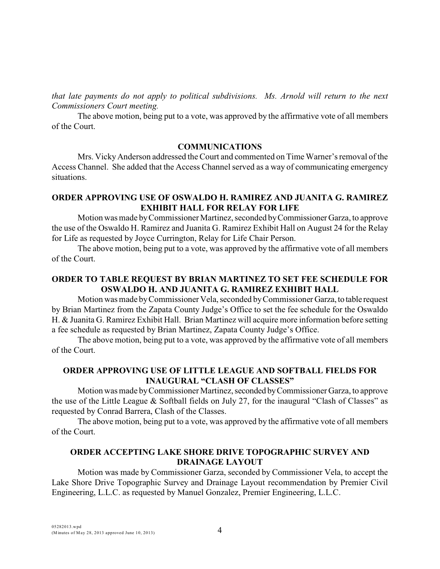*that late payments do not apply to political subdivisions. Ms. Arnold will return to the next Commissioners Court meeting.*

The above motion, being put to a vote, was approved by the affirmative vote of all members of the Court.

### **COMMUNICATIONS**

Mrs. Vicky Anderson addressed the Court and commented on Time Warner's removal of the Access Channel. She added that the Access Channel served as a way of communicating emergency situations.

## **ORDER APPROVING USE OF OSWALDO H. RAMIREZ AND JUANITA G. RAMIREZ EXHIBIT HALL FOR RELAY FOR LIFE**

Motion was made by Commissioner Martinez, seconded by Commissioner Garza, to approve the use of the Oswaldo H. Ramirez and Juanita G. Ramirez Exhibit Hall on August 24 for the Relay for Life as requested by Joyce Currington, Relay for Life Chair Person.

The above motion, being put to a vote, was approved by the affirmative vote of all members of the Court.

## **ORDER TO TABLE REQUEST BY BRIAN MARTINEZ TO SET FEE SCHEDULE FOR OSWALDO H. AND JUANITA G. RAMIREZ EXHIBIT HALL**

Motion was made by Commissioner Vela, seconded by Commissioner Garza, to table request by Brian Martinez from the Zapata County Judge's Office to set the fee schedule for the Oswaldo H. & Juanita G. Ramirez Exhibit Hall. Brian Martinez will acquire more information before setting a fee schedule as requested by Brian Martinez, Zapata County Judge's Office.

The above motion, being put to a vote, was approved by the affirmative vote of all members of the Court.

# **ORDER APPROVING USE OF LITTLE LEAGUE AND SOFTBALL FIELDS FOR INAUGURAL "CLASH OF CLASSES"**

Motion was made by Commissioner Martinez, seconded by Commissioner Garza, to approve the use of the Little League & Softball fields on July 27, for the inaugural "Clash of Classes" as requested by Conrad Barrera, Clash of the Classes.

The above motion, being put to a vote, was approved by the affirmative vote of all members of the Court.

### **ORDER ACCEPTING LAKE SHORE DRIVE TOPOGRAPHIC SURVEY AND DRAINAGE LAYOUT**

Motion was made by Commissioner Garza, seconded by Commissioner Vela, to accept the Lake Shore Drive Topographic Survey and Drainage Layout recommendation by Premier Civil Engineering, L.L.C. as requested by Manuel Gonzalez, Premier Engineering, L.L.C.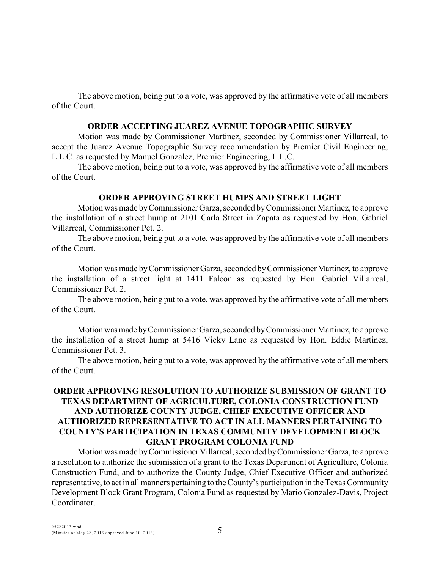The above motion, being put to a vote, was approved by the affirmative vote of all members of the Court.

#### **ORDER ACCEPTING JUAREZ AVENUE TOPOGRAPHIC SURVEY**

Motion was made by Commissioner Martinez, seconded by Commissioner Villarreal, to accept the Juarez Avenue Topographic Survey recommendation by Premier Civil Engineering, L.L.C. as requested by Manuel Gonzalez, Premier Engineering, L.L.C.

The above motion, being put to a vote, was approved by the affirmative vote of all members of the Court.

#### **ORDER APPROVING STREET HUMPS AND STREET LIGHT**

Motion was made by Commissioner Garza, seconded by Commissioner Martinez, to approve the installation of a street hump at 2101 Carla Street in Zapata as requested by Hon. Gabriel Villarreal, Commissioner Pct. 2.

The above motion, being put to a vote, was approved by the affirmative vote of all members of the Court.

Motion was made by Commissioner Garza, seconded by Commissioner Martinez, to approve the installation of a street light at 1411 Falcon as requested by Hon. Gabriel Villarreal, Commissioner Pct. 2.

The above motion, being put to a vote, was approved by the affirmative vote of all members of the Court.

Motion was made by Commissioner Garza, seconded by Commissioner Martinez, to approve the installation of a street hump at 5416 Vicky Lane as requested by Hon. Eddie Martinez, Commissioner Pct. 3.

The above motion, being put to a vote, was approved by the affirmative vote of all members of the Court.

## **ORDER APPROVING RESOLUTION TO AUTHORIZE SUBMISSION OF GRANT TO TEXAS DEPARTMENT OF AGRICULTURE, COLONIA CONSTRUCTION FUND AND AUTHORIZE COUNTY JUDGE, CHIEF EXECUTIVE OFFICER AND AUTHORIZED REPRESENTATIVE TO ACT IN ALL MANNERS PERTAINING TO COUNTY'S PARTICIPATION IN TEXAS COMMUNITY DEVELOPMENT BLOCK GRANT PROGRAM COLONIA FUND**

Motion was made by Commissioner Villarreal, seconded by Commissioner Garza, to approve a resolution to authorize the submission of a grant to the Texas Department of Agriculture, Colonia Construction Fund, and to authorize the County Judge, Chief Executive Officer and authorized representative, to act in all manners pertaining to the County's participation in the Texas Community Development Block Grant Program, Colonia Fund as requested by Mario Gonzalez-Davis, Project Coordinator.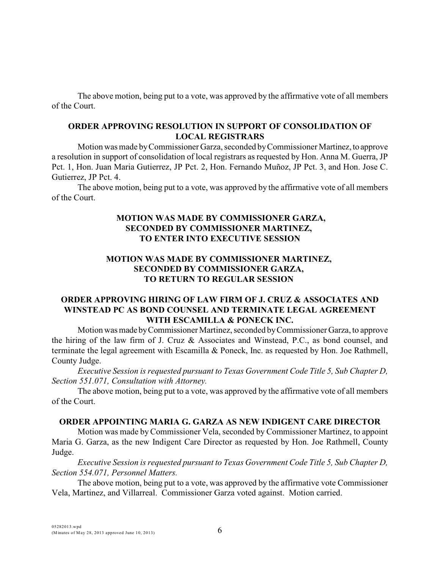The above motion, being put to a vote, was approved by the affirmative vote of all members of the Court.

## **ORDER APPROVING RESOLUTION IN SUPPORT OF CONSOLIDATION OF LOCAL REGISTRARS**

Motion was made by Commissioner Garza, seconded by Commissioner Martinez, to approve a resolution in support of consolidation of local registrars as requested by Hon. Anna M. Guerra, JP Pct. 1, Hon. Juan Maria Gutierrez, JP Pct. 2, Hon. Fernando Muñoz, JP Pct. 3, and Hon. Jose C. Gutierrez, JP Pct. 4.

The above motion, being put to a vote, was approved by the affirmative vote of all members of the Court.

## **MOTION WAS MADE BY COMMISSIONER GARZA, SECONDED BY COMMISSIONER MARTINEZ, TO ENTER INTO EXECUTIVE SESSION**

# **MOTION WAS MADE BY COMMISSIONER MARTINEZ, SECONDED BY COMMISSIONER GARZA, TO RETURN TO REGULAR SESSION**

### **ORDER APPROVING HIRING OF LAW FIRM OF J. CRUZ & ASSOCIATES AND WINSTEAD PC AS BOND COUNSEL AND TERMINATE LEGAL AGREEMENT WITH ESCAMILLA & PONECK INC.**

Motion was made by Commissioner Martinez, seconded by Commissioner Garza, to approve the hiring of the law firm of J. Cruz & Associates and Winstead, P.C., as bond counsel, and terminate the legal agreement with Escamilla & Poneck, Inc. as requested by Hon. Joe Rathmell, County Judge.

*Executive Session is requested pursuant to Texas Government Code Title 5, Sub Chapter D, Section 551.071, Consultation with Attorney.* 

The above motion, being put to a vote, was approved by the affirmative vote of all members of the Court.

### **ORDER APPOINTING MARIA G. GARZA AS NEW INDIGENT CARE DIRECTOR**

Motion was made by Commissioner Vela, seconded by Commissioner Martinez, to appoint Maria G. Garza, as the new Indigent Care Director as requested by Hon. Joe Rathmell, County Judge.

*Executive Session is requested pursuant to Texas Government Code Title 5, Sub Chapter D, Section 554.071, Personnel Matters.* 

The above motion, being put to a vote, was approved by the affirmative vote Commissioner Vela, Martinez, and Villarreal. Commissioner Garza voted against. Motion carried.